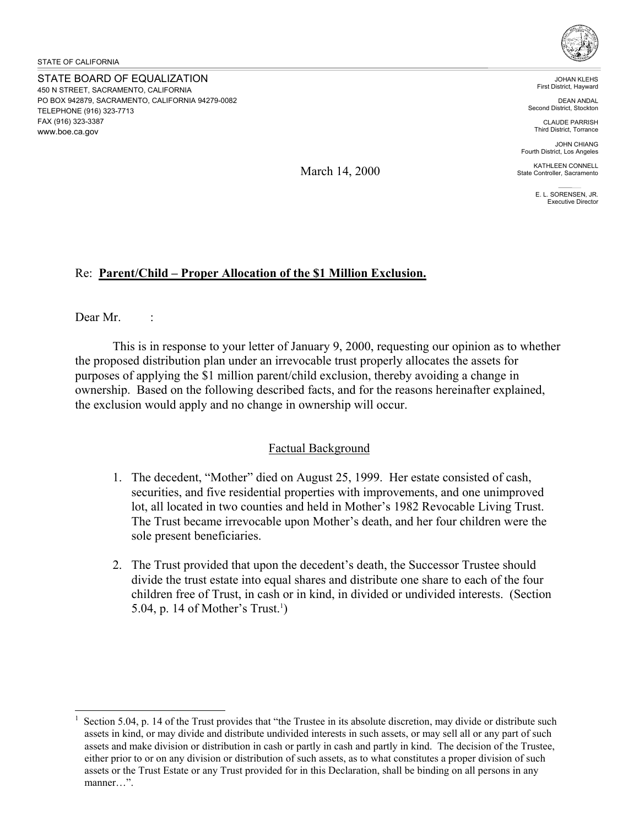STATE BOARD OF EQUALIZATION 450 N STREET, SACRAMENTO, CALIFORNIA PO BOX 942879, SACRAMENTO, CALIFORNIA 94279-0082 TELEPHONE (916) 323-7713 FAX (916) 323-3387 <www.boe.ca.gov>



JOHAN KLEHS First District, Hayward

DEAN ANDAL Second District, Stockton

CLAUDE PARRISH Third District, Torrance

JOHN CHIANG Fourth District, Los Angeles

March 14, 2000

E. L. SORENSEN, JR. Executive Director

KATHLEEN CONNELL State Controller, Sacramento

## Re: **Parent/Child – Proper Allocation of the \$1 Million Exclusion.**

Dear Mr. :

 $\overline{a}$ 

This is in response to your letter of January 9, 2000, requesting our opinion as to whether the proposed distribution plan under an irrevocable trust properly allocates the assets for purposes of applying the \$1 million parent/child exclusion, thereby avoiding a change in ownership. Based on the following described facts, and for the reasons hereinafter explained, the exclusion would apply and no change in ownership will occur.

## Factual Background

- 1. The decedent, "Mother" died on August 25, 1999. Her estate consisted of cash, securities, and five residential properties with improvements, and one unimproved lot, all located in two counties and held in Mother's 1982 Revocable Living Trust. The Trust became irrevocable upon Mother's death, and her four children were the sole present beneficiaries.
- 2. The Trust provided that upon the decedent's death, the Successor Trustee should divide the trust estate into equal shares and distribute one share to each of the four children free of Trust, in cash or in kind, in divided or undivided interests. (Section 5.04, p. 14 of Mother's Trust.<sup>1</sup>)

<sup>1</sup> Section 5.04, p. 14 of the Trust provides that "the Trustee in its absolute discretion, may divide or distribute such assets in kind, or may divide and distribute undivided interests in such assets, or may sell all or any part of such assets and make division or distribution in cash or partly in cash and partly in kind. The decision of the Trustee, either prior to or on any division or distribution of such assets, as to what constitutes a proper division of such assets or the Trust Estate or any Trust provided for in this Declaration, shall be binding on all persons in any manner "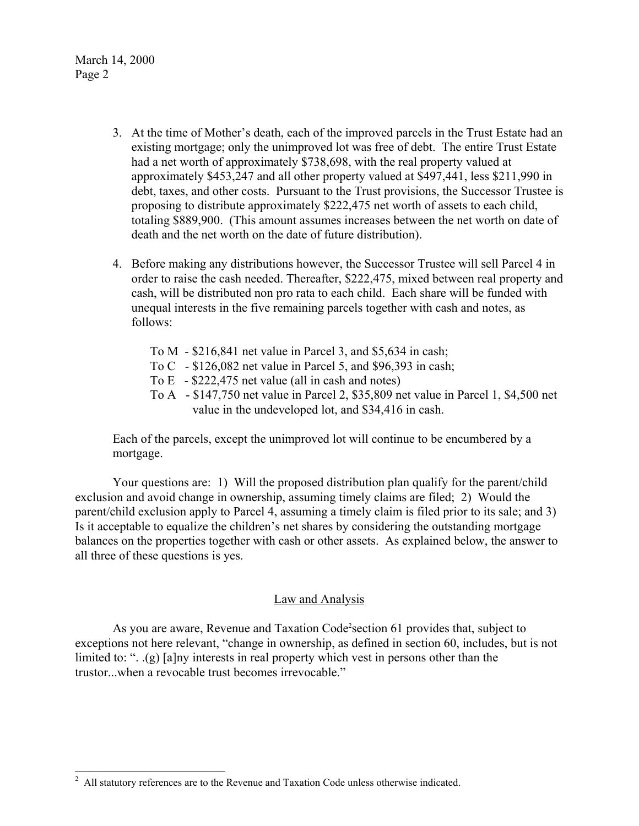- 3. At the time of Mother's death, each of the improved parcels in the Trust Estate had an existing mortgage; only the unimproved lot was free of debt. The entire Trust Estate had a net worth of approximately \$738,698, with the real property valued at approximately \$453,247 and all other property valued at \$497,441, less \$211,990 in debt, taxes, and other costs. Pursuant to the Trust provisions, the Successor Trustee is proposing to distribute approximately \$222,475 net worth of assets to each child, totaling \$889,900. (This amount assumes increases between the net worth on date of death and the net worth on the date of future distribution).
- 4. Before making any distributions however, the Successor Trustee will sell Parcel 4 in order to raise the cash needed. Thereafter, \$222,475, mixed between real property and cash, will be distributed non pro rata to each child. Each share will be funded with unequal interests in the five remaining parcels together with cash and notes, as follows:
	- To M \$216,841 net value in Parcel 3, and \$5,634 in cash;
	- To C \$126,082 net value in Parcel 5, and \$96,393 in cash;
	- To E \$222,475 net value (all in cash and notes)
	- To A \$147,750 net value in Parcel 2, \$35,809 net value in Parcel 1, \$4,500 net value in the undeveloped lot, and \$34,416 in cash.

Each of the parcels, except the unimproved lot will continue to be encumbered by a mortgage.

Your questions are: 1) Will the proposed distribution plan qualify for the parent/child exclusion and avoid change in ownership, assuming timely claims are filed; 2) Would the parent/child exclusion apply to Parcel 4, assuming a timely claim is filed prior to its sale; and 3) Is it acceptable to equalize the children's net shares by considering the outstanding mortgage balances on the properties together with cash or other assets. As explained below, the answer to all three of these questions is yes.

## Law and Analysis

As you are aware, Revenue and Taxation Code<sup>2</sup> section 61 provides that, subject to exceptions not here relevant, "change in ownership, as defined in section 60, includes, but is not limited to: ". .(g) [a]ny interests in real property which vest in persons other than the trustor...when a revocable trust becomes irrevocable."

<sup>&</sup>lt;sup>2</sup> All statutory references are to the Revenue and Taxation Code unless otherwise indicated.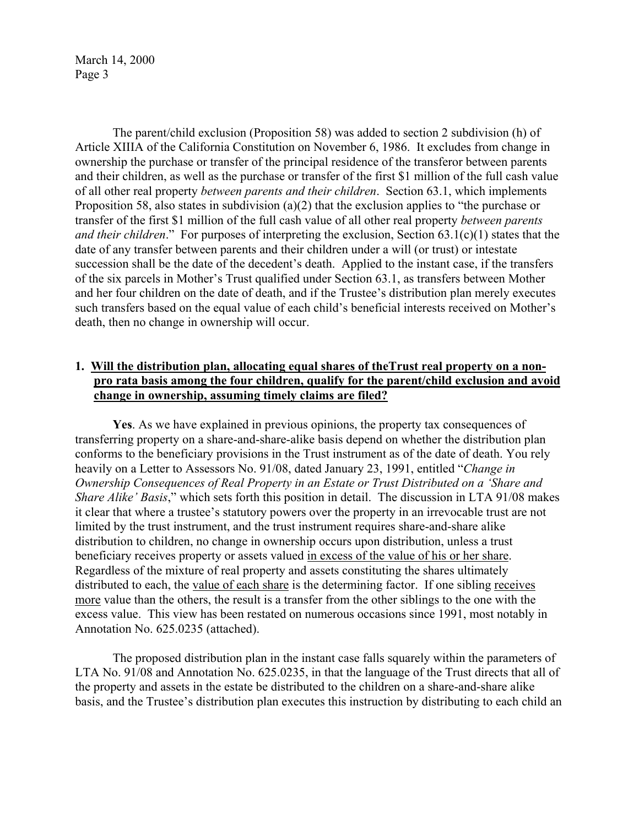The parent/child exclusion (Proposition 58) was added to section 2 subdivision (h) of Article XIIIA of the California Constitution on November 6, 1986. It excludes from change in ownership the purchase or transfer of the principal residence of the transferor between parents and their children, as well as the purchase or transfer of the first \$1 million of the full cash value of all other real property *between parents and their children*. Section 63.1, which implements Proposition 58, also states in subdivision (a)(2) that the exclusion applies to "the purchase or transfer of the first \$1 million of the full cash value of all other real property *between parents and their children*." For purposes of interpreting the exclusion, Section 63.1(c)(1) states that the date of any transfer between parents and their children under a will (or trust) or intestate succession shall be the date of the decedent's death. Applied to the instant case, if the transfers of the six parcels in Mother's Trust qualified under Section 63.1, as transfers between Mother and her four children on the date of death, and if the Trustee's distribution plan merely executes such transfers based on the equal value of each child's beneficial interests received on Mother's death, then no change in ownership will occur.

# **1. Will the distribution plan, allocating equal shares of theTrust real property on a nonpro rata basis among the four children, qualify for the parent/child exclusion and avoid change in ownership, assuming timely claims are filed?**

**Yes**. As we have explained in previous opinions, the property tax consequences of transferring property on a share-and-share-alike basis depend on whether the distribution plan conforms to the beneficiary provisions in the Trust instrument as of the date of death. You rely heavily on a Letter to Assessors No. 91/08, dated January 23, 1991, entitled "*Change in Ownership Consequences of Real Property in an Estate or Trust Distributed on a 'Share and Share Alike' Basis*," which sets forth this position in detail. The discussion in LTA 91/08 makes it clear that where a trustee's statutory powers over the property in an irrevocable trust are not limited by the trust instrument, and the trust instrument requires share-and-share alike distribution to children, no change in ownership occurs upon distribution, unless a trust beneficiary receives property or assets valued in excess of the value of his or her share. Regardless of the mixture of real property and assets constituting the shares ultimately distributed to each, the value of each share is the determining factor. If one sibling receives more value than the others, the result is a transfer from the other siblings to the one with the excess value. This view has been restated on numerous occasions since 1991, most notably in Annotation No. 625.0235 (attached).

The proposed distribution plan in the instant case falls squarely within the parameters of LTA No. 91/08 and Annotation No. 625.0235, in that the language of the Trust directs that all of the property and assets in the estate be distributed to the children on a share-and-share alike basis, and the Trustee's distribution plan executes this instruction by distributing to each child an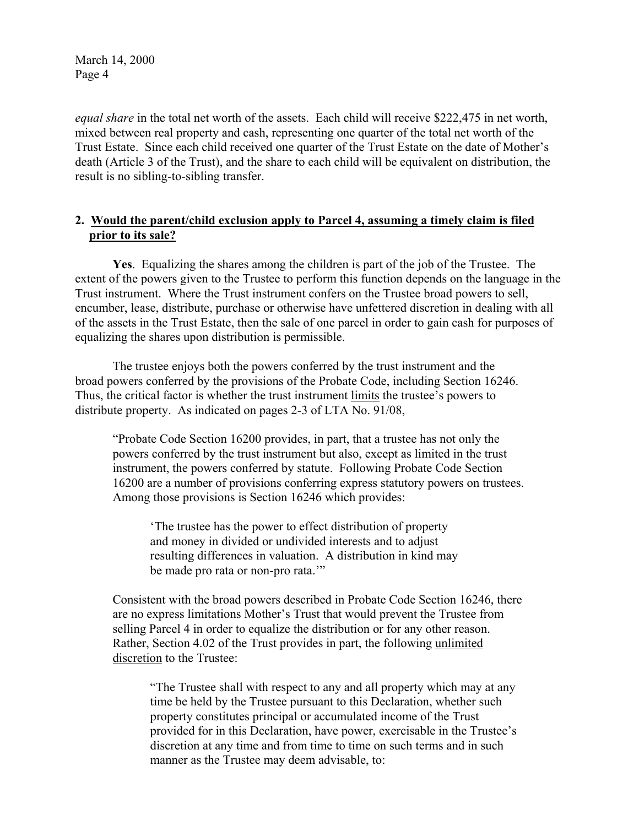*equal share* in the total net worth of the assets. Each child will receive \$222,475 in net worth, mixed between real property and cash, representing one quarter of the total net worth of the Trust Estate. Since each child received one quarter of the Trust Estate on the date of Mother's death (Article 3 of the Trust), and the share to each child will be equivalent on distribution, the result is no sibling-to-sibling transfer.

# **2. Would the parent/child exclusion apply to Parcel 4, assuming a timely claim is filed prior to its sale?**

**Yes**. Equalizing the shares among the children is part of the job of the Trustee. The extent of the powers given to the Trustee to perform this function depends on the language in the Trust instrument. Where the Trust instrument confers on the Trustee broad powers to sell, encumber, lease, distribute, purchase or otherwise have unfettered discretion in dealing with all of the assets in the Trust Estate, then the sale of one parcel in order to gain cash for purposes of equalizing the shares upon distribution is permissible.

The trustee enjoys both the powers conferred by the trust instrument and the broad powers conferred by the provisions of the Probate Code, including Section 16246. Thus, the critical factor is whether the trust instrument limits the trustee's powers to distribute property. As indicated on pages 2-3 of LTA No. 91/08,

"Probate Code Section 16200 provides, in part, that a trustee has not only the powers conferred by the trust instrument but also, except as limited in the trust instrument, the powers conferred by statute. Following Probate Code Section 16200 are a number of provisions conferring express statutory powers on trustees. Among those provisions is Section 16246 which provides:

'The trustee has the power to effect distribution of property and money in divided or undivided interests and to adjust resulting differences in valuation. A distribution in kind may be made pro rata or non-pro rata.'"

Consistent with the broad powers described in Probate Code Section 16246, there are no express limitations Mother's Trust that would prevent the Trustee from selling Parcel 4 in order to equalize the distribution or for any other reason. Rather, Section 4.02 of the Trust provides in part, the following unlimited discretion to the Trustee:

"The Trustee shall with respect to any and all property which may at any time be held by the Trustee pursuant to this Declaration, whether such property constitutes principal or accumulated income of the Trust provided for in this Declaration, have power, exercisable in the Trustee's discretion at any time and from time to time on such terms and in such manner as the Trustee may deem advisable, to: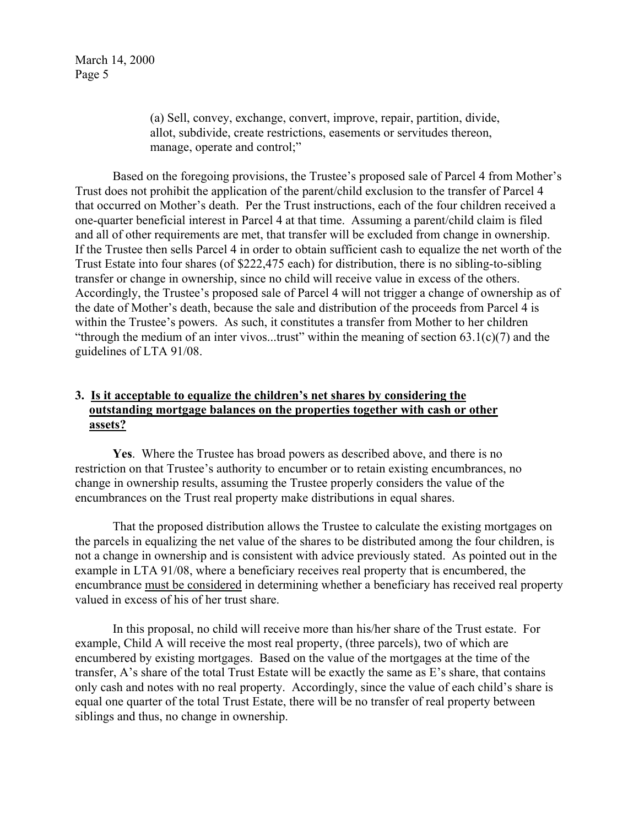(a) Sell, convey, exchange, convert, improve, repair, partition, divide, allot, subdivide, create restrictions, easements or servitudes thereon, manage, operate and control;"

Based on the foregoing provisions, the Trustee's proposed sale of Parcel 4 from Mother's Trust does not prohibit the application of the parent/child exclusion to the transfer of Parcel 4 that occurred on Mother's death. Per the Trust instructions, each of the four children received a one-quarter beneficial interest in Parcel 4 at that time. Assuming a parent/child claim is filed and all of other requirements are met, that transfer will be excluded from change in ownership. If the Trustee then sells Parcel 4 in order to obtain sufficient cash to equalize the net worth of the Trust Estate into four shares (of \$222,475 each) for distribution, there is no sibling-to-sibling transfer or change in ownership, since no child will receive value in excess of the others. Accordingly, the Trustee's proposed sale of Parcel 4 will not trigger a change of ownership as of the date of Mother's death, because the sale and distribution of the proceeds from Parcel 4 is within the Trustee's powers. As such, it constitutes a transfer from Mother to her children "through the medium of an inter vivos...trust" within the meaning of section  $63.1(c)(7)$  and the guidelines of LTA 91/08.

# **3. Is it acceptable to equalize the children's net shares by considering the outstanding mortgage balances on the properties together with cash or other assets?**

**Yes**. Where the Trustee has broad powers as described above, and there is no restriction on that Trustee's authority to encumber or to retain existing encumbrances, no change in ownership results, assuming the Trustee properly considers the value of the encumbrances on the Trust real property make distributions in equal shares.

That the proposed distribution allows the Trustee to calculate the existing mortgages on the parcels in equalizing the net value of the shares to be distributed among the four children, is not a change in ownership and is consistent with advice previously stated. As pointed out in the example in LTA 91/08, where a beneficiary receives real property that is encumbered, the encumbrance must be considered in determining whether a beneficiary has received real property valued in excess of his of her trust share.

In this proposal, no child will receive more than his/her share of the Trust estate. For example, Child A will receive the most real property, (three parcels), two of which are encumbered by existing mortgages. Based on the value of the mortgages at the time of the transfer, A's share of the total Trust Estate will be exactly the same as E's share, that contains only cash and notes with no real property. Accordingly, since the value of each child's share is equal one quarter of the total Trust Estate, there will be no transfer of real property between siblings and thus, no change in ownership.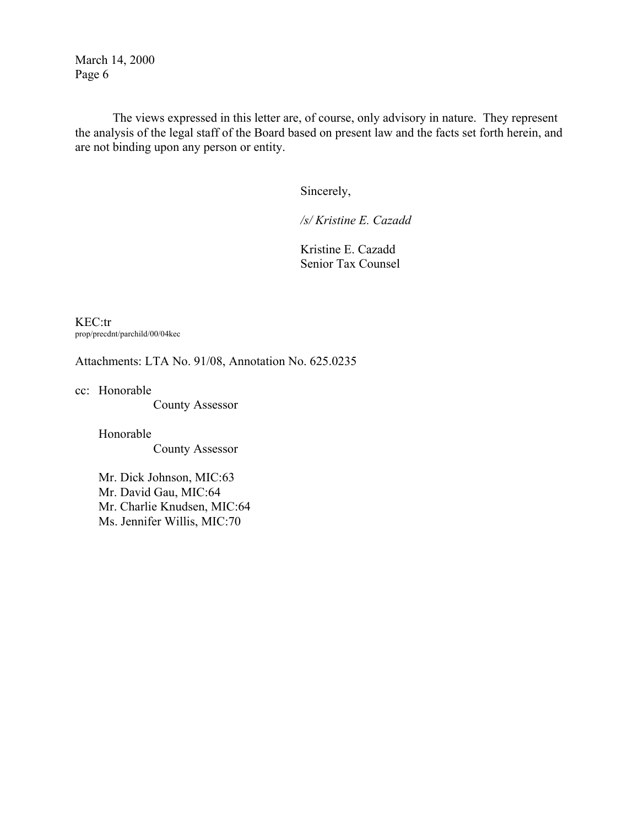The views expressed in this letter are, of course, only advisory in nature. They represent the analysis of the legal staff of the Board based on present law and the facts set forth herein, and are not binding upon any person or entity.

Sincerely,

*/s/ Kristine E. Cazadd* 

Kristine E. Cazadd Senior Tax Counsel

KEC:tr prop/precdnt/parchild/00/04kec

Attachments: LTA No. 91/08, Annotation No. 625.0235

cc: Honorable

County Assessor

Honorable County Assessor

Mr. Dick Johnson, MIC:63 Mr. David Gau, MIC:64 Mr. Charlie Knudsen, MIC:64 Ms. Jennifer Willis, MIC:70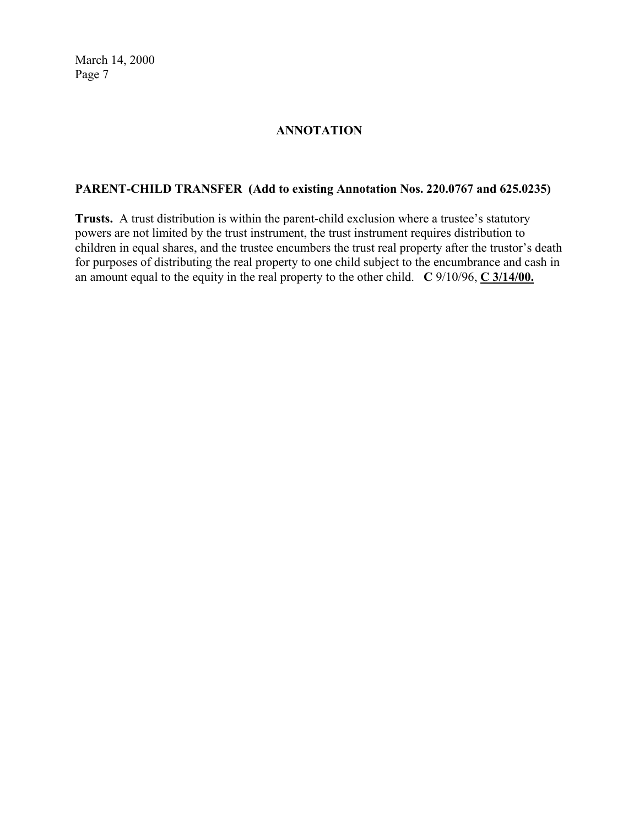# **ANNOTATION**

# **PARENT-CHILD TRANSFER (Add to existing Annotation Nos. 220.0767 and 625.0235)**

**Trusts.** A trust distribution is within the parent-child exclusion where a trustee's statutory powers are not limited by the trust instrument, the trust instrument requires distribution to children in equal shares, and the trustee encumbers the trust real property after the trustor's death for purposes of distributing the real property to one child subject to the encumbrance and cash in an amount equal to the equity in the real property to the other child. **C** 9/10/96, **C 3/14/00.**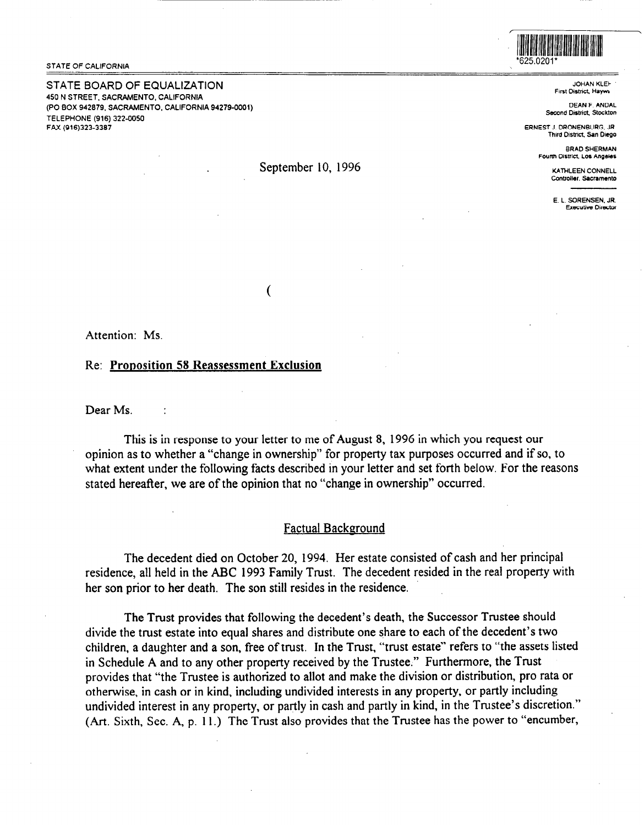STATE OF CALIFORNIA

STATE BOARD OF EQUALIZATION 450 N STREET, SACRAMENTO, CALIFORNIA (PO BOX 942879, SACRAMENTO, CALIFORNIA 94279-0001) TELEPHONE (916) 322-0050 FAX (916)323-338;



**JOHAN KLEk First District, Haywa** 

**DEAN F. ANOAL Second District, Stockton** 

**ERNEST J. ORONENBURG, JR. Third District, San Diego** 

> **BRAD SHERMAN Fourth Oistrict. Los Angeles**

> > **KATHLEEN CONNELL Controller. Sscnmento**

**E. L. SORENSEN. JR. Executive Director** 

Attention: Ms.

### Re: **Pronosition 58 Reassessment Exclusion**

Dear Ms.

This is in response to your letter to me of August 8, 1996 in which you request our opinion as to whether a "change in ownership" for property tax purposes occurred and if so, to what extent under the following facts described in your letter and set forth below. For the reasons stated hereafter, we are of the opinion that no "change in ownership" occurred.

## Factual Background

The decedent died on October 20, 1994. Her estate consisted of cash and her principal residence, all held in the ABC 1993 Family Trust. The decedent resided in the real property with her son prior to her death. The son still resides in the residence.

The Trust provides that following the decedent's death, the Successor Trustee should divide the trust estate into equal shares and distribute one share to each of the decedent's two children, a daughter and a son, free of trust. In the Trust, "trust estate" refers to "the assets listed in Schedule A and to any other property received by the Trustee." Furthermore, the Trust provides that "the Trustee is authorized to allot and make the division or distribution, pro rata or otherwise, in cash or in kind, including undivided interests in any property, or partly including undivided interest in any property, or partly in cash and partly in kind, in the Trustee's discretion." (Art. Sixth, Sec. A, p. 11.) The Trust also provides that the Trustee has the power to "encumber,

September 10, 1996

 $\overline{(\ }$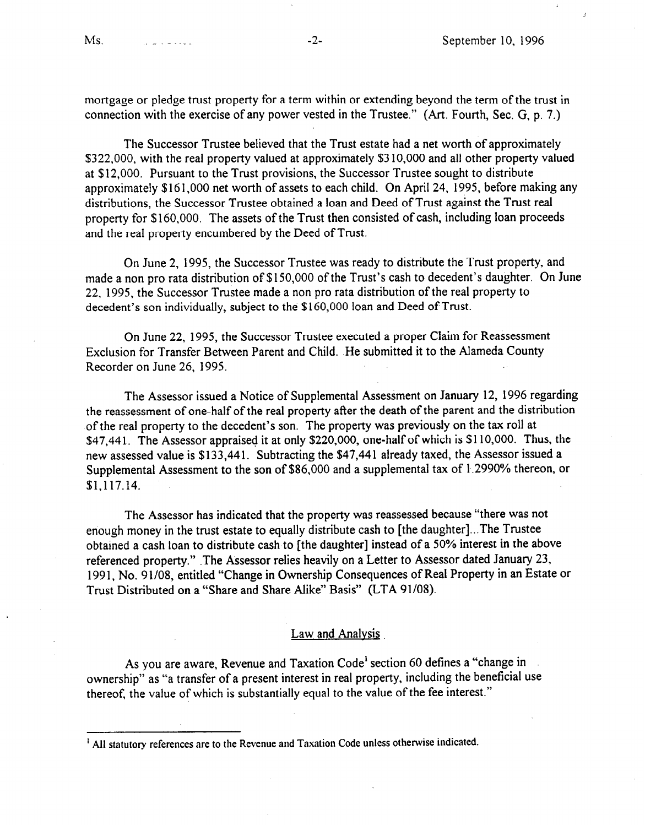mortgage or pledge trust property for a term within or extending beyond the term of the trust in connection with the exercise of any power vested in the Trustee." (Art. Fourth, Sec. G, p. 7.)

The Successor Trustee believed that the Trust estate had a net worth of approximately \$322,000, with the real property valued at approximately \$3 10,000 and all other property valued at \$12,000. Pursuant to the Trust provisions, the Successor Trustee sought to distribute approximately \$161,000 net worth of assets to each child. On April 24, 1995, before making any distributions, the Successor Trustee obtained a loan and Deed of Trust against the Trust real property for \$160,000. The assets of the Trust then consisted of cash, including loan proceeds and the real property encumbered by the Deed of Trust.

On June 2, 1995, the Successor Trustee was ready to distribute the Trust property, and made a non pro rata distribution of \$150,000 of the Trust's cash to decedent's daughter. On June 22, 1995, the Successor Trustee made a non pro rata distribution of the real property to decedent's son individually, subject to the \$160,000 loan and Deed of Trust.

On June 22, 1995, the Successor Trustee executed a proper Claim for Reassessment Exclusion for Transfer Between Parent and Child. He submitted it to the Alameda County Recorder on June 26, 1995.

The Assessor issued a Notice of Supplemental Assessment on January 12, 1996 regarding the reassessment of one-half of the real property after the death of the parent and the distribution of the real property to the decedent's son. The property was previously on the tax roll at \$47,441. The Assessor appraised it at only \$220,000, one-half of which is \$110,000. Thus, the new assessed value is \$133,441. Subtracting the \$47,441 already taxed, the Assessor issued a Supplemental Assessment to the son of \$86,000 and a supplemental tax of 1.2990% thereon, or [\\$1.117.14](https://1.117.14).

The Assessor has indicated that the property was reassessed because "there was not enough money in the trust estate to equally distribute cash to [the daughter]...The Trustee obtained a cash loan to distribute cash to [the daughter] instead of a 50% interest in the above referenced property." .The Assessor relies heavily on a Letter to Assessor dated January 23, 1991, No. 91/08, entitled "Change in Ownership Consequences of Real Property in an Estate or Trust Distributed on a "Share and Share Alike" Basis" (LTA 91/08).

## Law and Analysis

As you are aware, Revenue and Taxation Code' section 60 defines a "change in ownership" as "a transfer of a present interest in real property, including the beneficial use thereof, the value of which is substantially equal to the value of the fee interest."

<sup>&</sup>lt;sup>1</sup> All statutory references are to the Revenue and Taxation Code unless otherwise indicated.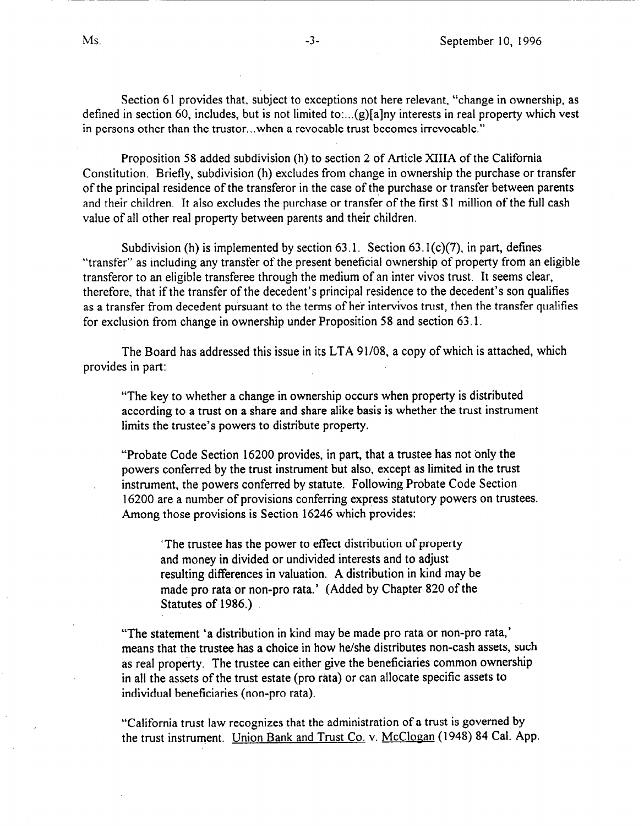Section 61 provides that, subject to exceptions not here relevant, "change in ownership, as defined in section 60, includes, but is not limited to:... $(g)$ [a]ny interests in real property which vest in persons other than the trustor...when a revocable trust becomes irrevocable."

Proposition 58 added subdivision (h) to section 2 of Article XIIIA of the California Constitution. Briefly, subdivision (h) excludes from change in ownership the purchase or transfer of the principal residence of the transferor in the case of the purchase or transfer between parents and their children, It also excludes the purchase or transfer of the first \$1 million of the full cash value of all other real property between parents and their children.

Subdivision (h) is implemented by section  $63.1$ . Section  $63.1(c)(7)$ , in part, defines "transfer" as including any transfer of the present beneficial ownership of property from an eligible transferor to an eligible transferee through the medium of an inter vivos trust. It seems clear, therefore, that if the transfer of the decedent's principal residence to the decedent's son qualifies as a transfer from decedent pursuant to the terms of her intervivos trust, then the transfer qualifies for exclusion from change in ownership under Proposition 58 and section 63.1.

The Board has addressed this issue in its LTA 91/08, a copy of which is attached, which provides in part:

"The key to whether a change in ownership occurs when property is distributed according to a trust on a share and share alike basis is whether the trust instrument limits the trustee's powers to distribute property.

"Probate Code Section 16200 provides, in part, that a trustee has not only the powers conferred by the trust instrument but also, except as limited in the trust instrument, the powers conferred by statute. Following Probate Code Section 16200 are a number of provisions conferring express statutory powers on trustees. Among those provisions is Section 16246 which provides:

'The trustee has the power to effect distribution of property and money in divided or undivided interests and to adjust resulting differences in valuation. A distribution in kind may be made pro rata or non-pro rata.' (Added by Chapter 820 of the Statutes of 1986.).

"The statement 'a distribution in kind may be made pro rata or non-pro rata,' means that the trustee has a choice in how he/she distributes non-cash assets, such as real property. The trustee can either give the beneficiaries common ownership in all the assets of the trust estate (pro rata) or can allocate specific assets to individual beneficiaries (non-pro rata).

"California trust law recognizes that the administration of a trust is governed by the trust instrument. Union Bank and Trust Co. v. McClogan (1948) 84 Cal. App.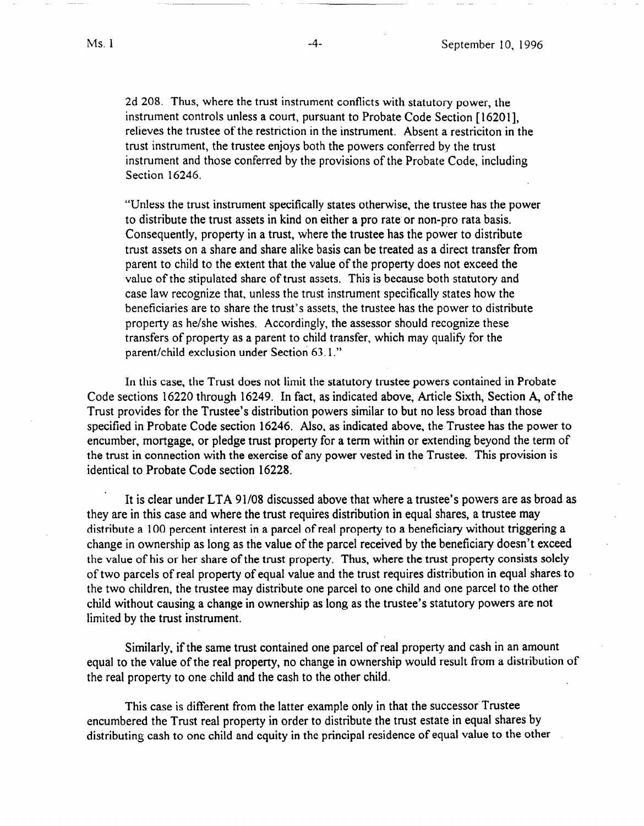2d 208. Thus, where the trust instrument conflicts with statutory power, the instrument controls unless a court, pursuant to Probate Code Section [ 162011, relieves the trustee of the restriction in the instrument. Absent a restriciton in the trust instrument, the trustee enjoys both the powers conferred by the trust instrument and those conferred by the provisions of the Probate Code, including Section 16246.

"Unless the trust instrument specifically states otherwise, the trustee has the power to distribute the trust assets in kind on either a pro rate'or non-pro rata basis. Consequently, property in a trust, where the trustee has the power to distribute trust assets on a share and share alike basis can be treated as a direct transfer from parent to child to the extent that the value of the property does not exceed the value of the stipulated share of trust assets. This is because both statutory and case law recognize that, unless the trust instrument specifically states how the beneficiaries are to share the trust's assets, the trustee has the power to distribute property as he/she wishes. Accordingly, the assessor should recognize these transfers of property as a parent to child transfer, which may qualify for the parent/child exclusion under Section 63.1."

In this case, the Trust does not limit the statutory trustee powers contained in Probate Code sections 16220 through 16249. In fact, as indicated above, Article Sixth, Section A, of the Trust provides for the Trustee's distribution powers similar to but no less broad than those specified in Probate Code section 16246. Also, as indicated above, the Trustee has the power to encumber, mortgage, or pledge trust property for a term within or extending beyond the term of the trust in connection with the exercise of any power vested in the Trustee. This provision is identical to Probate Code section 16228.

It is clear under LTA 91/08 discussed above that where a trustee's powers are as broad as they are in this case and where the trust requires distribution in equal shares, a trustee may distribute a 100 percent interest in a parcel of real property to a beneficiary without triggering a change in ownership as long as the value of the parcel received by the beneficiary doesn't exceed the value of his or her share of the trust property. Thus, where the trust property consists solely of two parcels of real property of equal value and the trust requires distribution in equal shares. to the two children, the trustee may distribute one parcel to one child and one parcel to the other child without causing a change in ownership as long as the trustee's statutory powers are not limited by the trust instrument.

Similarly, if the same trust contained one parcel of real property and cash in an amount equal to the value of the real property, no change in ownership would result from a distribution of the real property to one child and the cash to the other child.

This case is different from the latter example only in that the successor Trustee encumbered the Trust real property in order to distribute the trust estate in equal shares by distributing cash to one child and equity in the principal residence of equal value to the other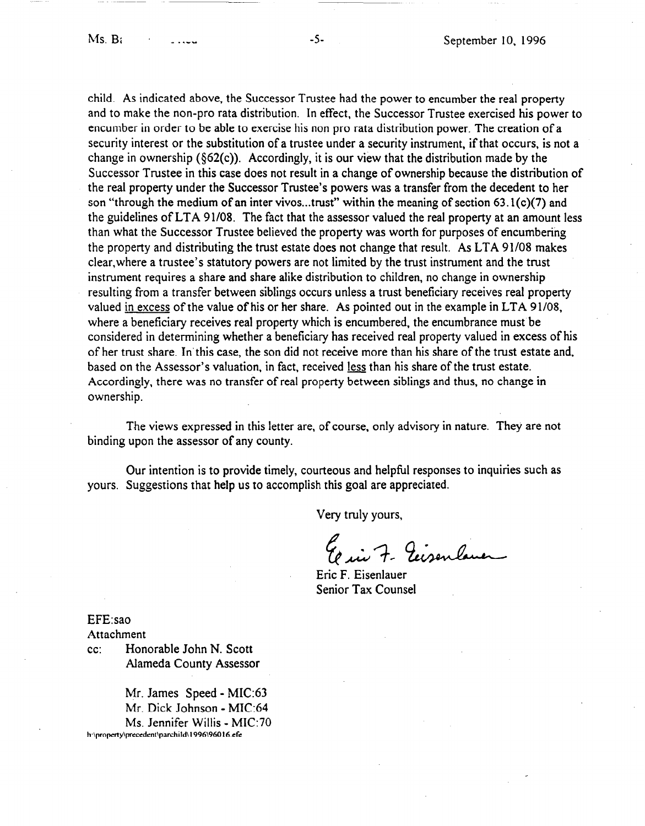child. As indicated above, the Successor Trustee had the power to encumber the real property and to make the non-pro rata distribution. In effect, the Successor Trustee exercised his power to encumber in order to be able to exercise his non pro rata distribution power. The creation of a security interest or the substitution of a trustee under a security instrument, if that occurs, is not a change in ownership (\$62(c)). Accordingly, it is our view that the distribution made by the Successor Trustee in this case does not result in a change of ownership because the distribution of the real property under the Successor Trustee's powers was a transfer from the decedent to her son "through the medium of an inter vivos...trust" within the meaning of section 63.1(c)(7) and the guidelines of LTA 91108. The fact that the assessor valued the real property at an amount less than what the Successor Trustee believed the property was worth for purposes of encumbering the property and distributing the trust estate does not change that result. As LTA 91108 makes clear,where a trustee's statutory powers are not limited by the trust instrument and the trust instrument requires a share and share alike distribution to children, no change in ownership resulting from a transfer between siblings occurs unless a trust beneficiary receives real property valued in excess of the value of his or her share. As pointed out in the example in LTA 91/08, where a beneficiary receives real property which is encumbered, the encumbrance must be considered in determining whether a beneficiary has received real property valued in excess of his of her trust share. In'this case, the son did not receive more than his share of the trust estate and, based on the Assessor's valuation, in fact, received less than his share of the trust estate. Accordingly, there was no transfer of real property between siblings and thus, no change in ownership.

The views expressed in this letter are, of **course,** only advisory in nature. They are not binding upon the assessor of any county.

Our intention is to provide timely, courteous and helpful responses to inquiries such as yours. Suggestions that help us to accomplish this goal are appreciated.

Very truly yours,

Errie 7- Ecisenlane

Eric F. Eisenlauer Senior Tax Counsel

EFE:sao

Attachment

cc: Honorable John N. Scott Alameda County Assessor

Mr. James Speed - MIC:63 Mr. Dick Johnson - MIC:64 Ms. Jennifer Willis - MIC:70 h:\property\precedent\parchild\1996\96016.efe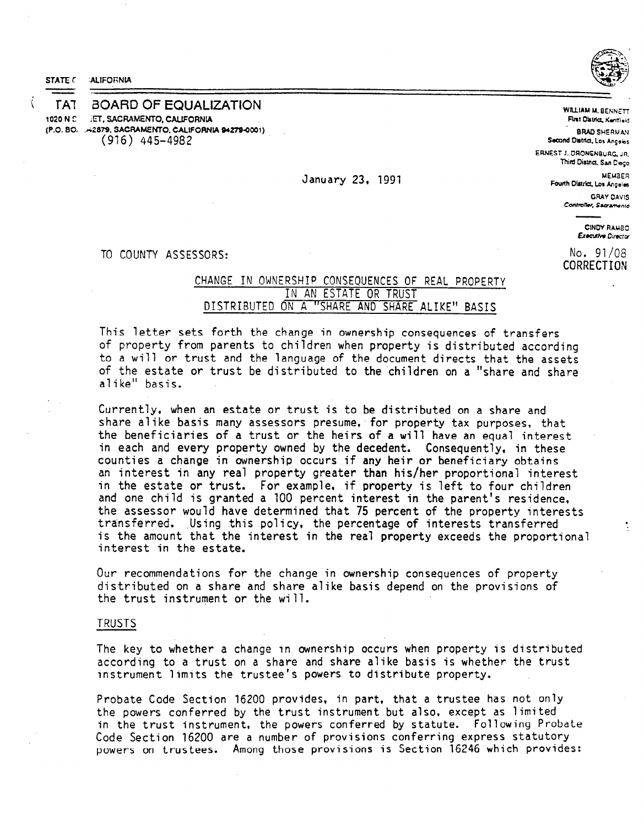

-



**<sup>c</sup>**l-A-l i3OARD OF EQUALIZATION **1020 N C :n. SACRAMENTO, CALIFORNLA (P.O. BO. ~~ 2879, SACRAMENTO, CALIFORNIA 94279-0001) (916) 445-4982** 

**January 23, 1991** 

**BRAD SHERMAV** Second District, Los Angeles **ERNEST**J. ORONENBURG JR. Third District, San Deco MEMBER Fourth District, Los Angeles **GRAY DAVIS** Controller, Sacramento

WILLIAM M. BENNETT **First District, Kentlield** 

> CINDY RAMBO **Executive Director**

No. **91/08 CORRECTIOti** 

**TO COUNTY ASSESSORS:** 

## **CHANGE IN OWNERSHIP CONSEQUENCES OF REAL PROPERTY IN AN ESTATE OR TRUST DISTRIBUTED ON A "SHARE AND SHARE ALIKE" BASIS**

**This letter sets forth the change in ownership consequences of transfers of property from parents to children when property is distributed according to a will or trust and the language of the document directs that the assets**  of the estate or trust be distributed to the children on a "share and share **alike" basis.** 

**Currently, when an estate or trust is to be distributed on a share and**  share alike basis many assessors presume, for property tax purposes, that **the beneficiaries of a trust or the heirs of a will have an equal interest in each and every property owned by the decedent. Consequently, in these counties a change in ownership occurs if any heir or beneficiary obtains an interest in any real property greater than his/her proportional interest in the estate or trust. For example, if property is left to four children and one child is granted a 100 percent interest in the parent's residence, the assessor would have determined that 75 percent of the property interests**  transferred. Using this policy, the percentage of interests transferred **is the amount that the interest in the real property exceeds the proportional interest in the estate.** 

**Our recommendations for the change in ownership consequences of property distributed on a share and share alike basis depend on the provisions of the trust instrument or the will.** 

#### **TRUSTS**

**The key to whether a change in ownership occurs when property is 'distributed according to a trust on a share and share alike basis is whether the trust instrument limits the trustee's powers to distribute property.** 

**Probate Code Section 16200 provides, in part, that a trustee has not only the powers conferred by the trust instrument but also, except as limited in the trust instrument, the powers conferred by statute. Following Probate Code Section 16200 are a number of provisions conferring express statutory powers on trustees. Among those provisions is Section 16246 which provides:**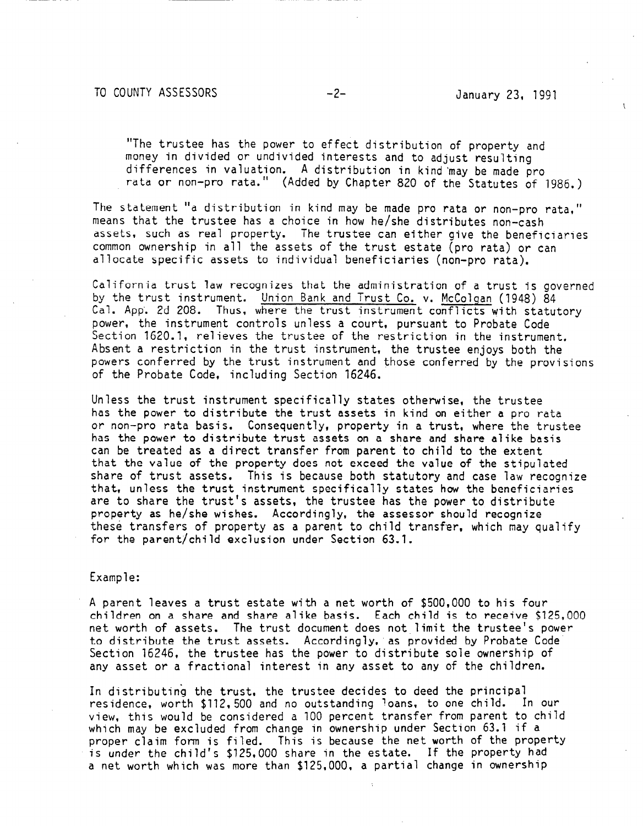**"The trustee has the power to effect distribution of property and money in divided or undivided interests and to adjust resulting differences in valuation. A distribution in kind 'may be made pro rata or non-pro rata." (Added by Chapter 820 of the** Statutes of 1986.)

**The statement "a distribution in kind may be made pro rata or non-pro rata," means that the trustee has a choice in how he/she distributes non-cash assets, such as real property. The trustee can either give the beneficiaries common ownership in all the assets of the trust estate (pro rata) or can allocate specific assets to individual beneficiaries (non-pro rata).** 

**California trust law recognizes that the administration of a trust is governed by the trust instrument. Union Bank and Trust Co. v. McColgan (1948) 84 Cal. App'. 2d 208. Thus, where the trust instrument conflicts with statutory power, the instrument controls unless a court, pursuant to Probate Code Section 1620.1, relieves the trustee of the restriction in the instrument. Absent a restriction in the trust instrument, the trustee enjoys both the powers conferred by the trust instrument and those conferred by the provisions of the Probate Code, including Section 16246.** 

**Unless the trust instrument specifically states otherwise, the trustee has the power to distribute the trust assets in kind on either a pro rata or non-pro rata basis. Consequently, property in a trust, where the trustee has the power to distribute trust assets on a share and share alike basis can be treated as a direct transfer from parent to child to the extent that the value of the property does not exceed the value of the stipulated share of trust assets. This is because both statutory and case law recognize that, unless the trust instrument specifically states how the beneficiaries are to share the trust's assets, the trustee has the power to distribute property as he/she wishes. Accordingly, the assessor should recognize these transfers of property as a parent to child transfer, which may qualify for the parent/child exclusion under Section 63.1.** 

## **Example:**

**A parent leaves a trust estate with a net worth of \$500,000 to his four children on a share and share alike basis. Each chi** Id **is to receive \$125,000 net worth of assets. The trust document does not limit the trustee's power to distribute the trust assets. Accordingly, as provided by Probate Code. Section 16246, the trustee has the power to distribute sole ownership of any asset or a fractional interest in any asset to any of the children.** 

**In distributing the trust, the trustee decides to deed the principal residence, worth \$112,500 and no outstanding loans. to one child. In our view, this would be considered a 100 percent transfer from parent to child which may be excluded from change in ownership under Section 63.1 if a proper claim form is filed. This is because the net worth of the property is under the child's \$125,000 share in the estate.** If **the property had a net worth which was more than \$125,000, a partial change in ownership**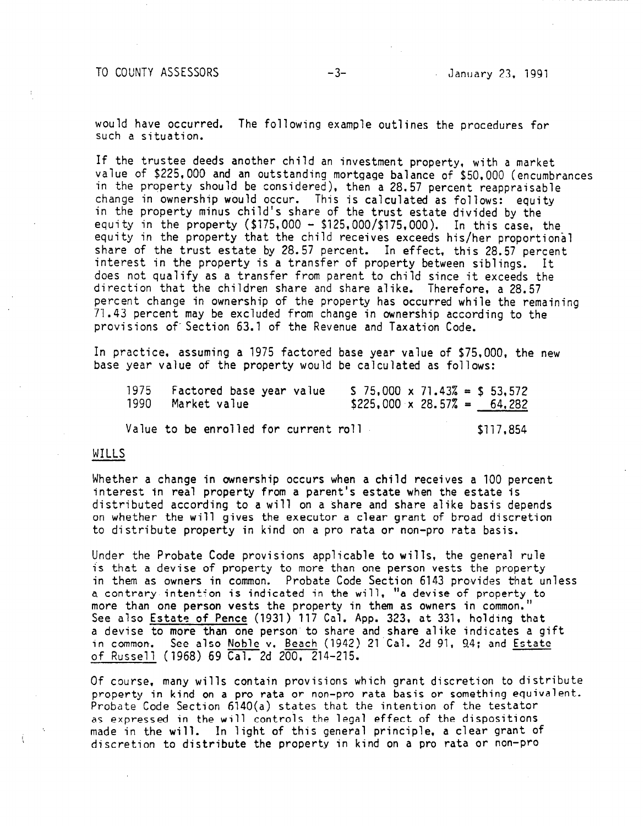**TO COUNTY ASSESSORS -3- January 23, 1991** 

**would have occurred. The following example outlines the procedures for such a situation.** 

If **the trustee deeds another child an investment property, with a market value of \$225,000 and an outstanding mortgage balance of \$50,000 (encumbrances in the property should be considered), then a 28.57 percent reappraisable change in ownership would occur. This is calculated as follows: equity in the property minus child's share of the trust estate divided by the equity in the property (\$175,000 - \$125,000/\$175,000). In this case, the equity in the property that the child receives exceeds his/her proportional share of the trust estate by 28.57 percent.** In **effect, this 28.57 percent interest in the property is a transfer of property between siblings. It does not qualify as a transfer from parent to child since it exceeds the direction that the children share and share alike. Therefore, a 28.57 percent change in ownership of the property has occurred while the remaining 71.43 percent may be excluded from change in ownership according to the provisions of. Section 63.1 of the Revenue and Taxation Code.** 

**In practice, assuming a 1975 factored base year value of \$75,000, the new base year value of the property would be calculated as follows:** 

| 1975 Factored base year value | $5$ 75,000 x 71.43% = \$ 53,572    |
|-------------------------------|------------------------------------|
| 1990 Market value             | $$225,000 \times 28.57\% = 64,282$ |

Value to be enrolled for current roll **\$117,854** 

### **WILLS**

**Whether a change in ownership occurs when a child receives a 100 percent interest in real property from a parent's estate when the estate is distributed according to a will on a share and share alike basis depends on whether the will gives the executor a clear grant of broad discretion to distribute property in kind on a pro rata or non-pro rata basis.** 

**Under the Probate Code provisions applicable to wills, the general rule is that a devise of property to more than one person vests the property**  in them as owners in common. Probate Code Section 6143 provides that unless **a contrary intentfon is indicated in the will, "a devise of property to more than one person vests the property in them as owners in common." See also Estate of Pence (1931) 117 Cal. App. 323, at 331, holding that a devise to more than one person to share and share alike indicates a aift in common. See also Noble'v. Beach (1942) 2lCal. 2d 91, 9.4; and Estate of Russell (1968) 69 Cal. 2d 200, 214-215.** 

**Of course, many wills contain provisions which grant discretion to distribute property in kind on a pro rata or non-pro rata basis or something equivalent. Probate Code Section 6140(a) states that the intention of the testator as expressed in the will controls the legal effect of the dispositions made in the will. In light of this general principle, a clear grant of discretion to distribute the property in kind on a pro rata or non-pro**